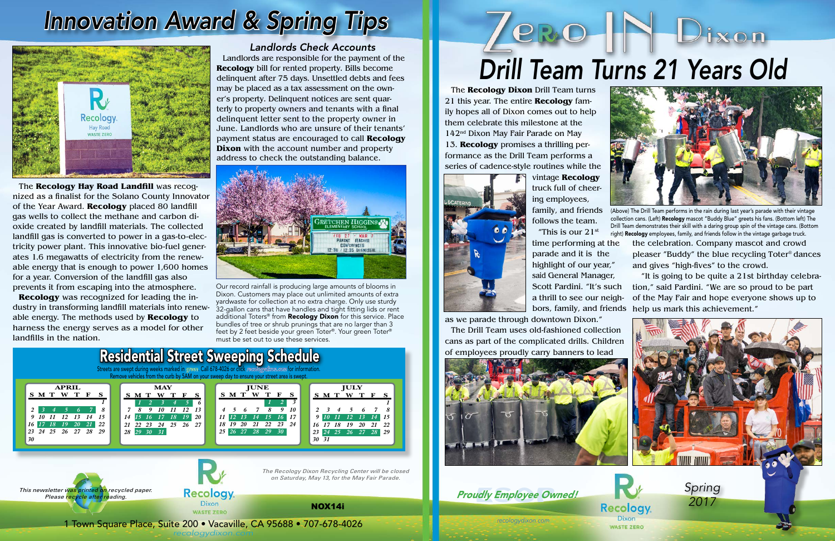1 Town Square Place, Suite 200 • Vacaville, CA 95688 • 707-678-4026 *recologydixon.com*

# **CRO-H**

*This newsletter was printed on recycled paper. Please recycle after reading.*

The **Recology Hay Road Landfill** was recognized as a finalist for the Solano County Innovator of the Year Award. **Recology** placed 80 landfill gas wells to collect the methane and carbon dioxide created by landfill materials. The collected landfill gas is converted to power in a gas-to-electricity power plant. This innovative bio-fuel generates 1.6 megawatts of electricity from the renewable energy that is enough to power 1,600 homes for a year. Conversion of the landfill gas also prevents it from escaping into the atmosphere.

**Recology** was recognized for leading the industry in transforming landfill materials into renewable energy. The methods used by **Recology** to harness the energy serves as a model for other landfills in the nation.

#### *Landlords Check Accounts*





**WASTE ZERO** 

vintage **Recology** truck full of cheering employees, family, and friends follows the team. "This is our  $21<sup>st</sup>$ 

Landlords are responsible for the payment of the **Recology** bill for rented property. Bills become delinquent after 75 days. Unsettled debts and fees may be placed as a tax assessment on the owner's property. Delinquent notices are sent quarterly to property owners and tenants with a final delinquent letter sent to the property owner in June. Landlords who are unsure of their tenants' payment status are encouraged to call **Recology Dixon** with the account number and property address to check the outstanding balance.



Our record rainfall is producing large amounts of blooms in Dixon. Customers may place out unlimited amounts of extra yardwaste for collection at no extra charge. Only use sturdy 32-gallon cans that have handles and tight fitting lids or rent additional Toters<sup>®</sup> from **Recology Dixon** for this service. Place bundles of tree or shrub prunings that are no larger than 3 feet by 2 feet beside your green Toter®. Your green Toter® must be set out to use these services.

> *The Recology Dixon Recycling Center will be closed on Saturday, May 13, for the May Fair Parade.*

## *Innovation Award & Spring Tips*



NOX14i

*2017*

# *Drill Team Turns 21 Years Old*



 $\bigcup$ ixon

The **Recology Dixon** Drill Team turns 21 this year. The entire **Recology** family hopes all of Dixon comes out to help them celebrate this milestone at the 142nd Dixon May Fair Parade on May 13. **Recology** promises a thrilling performance as the Drill Team performs a series of cadence-style routines while the





Dixon **WASTE ZERO** 

time performing at the parade and it is the highlight of our year," said General Manager, Scott Pardini. "It's such a thrill to see our neighbors, family, and friends

The Drill Team uses old-fashioned collection

(Above) The Drill Team performs in the rain during last year's parade with their vintage collection cans. (Left) Recology mascot "Buddy Blue" greets his fans. (Bottom left) The Drill Team demonstrates their skill with a daring group spin of the vintage cans. (Bottom right) Recology employees, family, and friends follow in the vintage garbage truck.

the celebration. Company mascot and crowd pleaser "Buddy" the blue recycling Toter® dances and gives "high-fives" to the crowd.

"It is going to be quite a 21st birthday celebration," said Pardini. "We are so proud to be part of the May Fair and hope everyone shows up to help us mark this achievement."